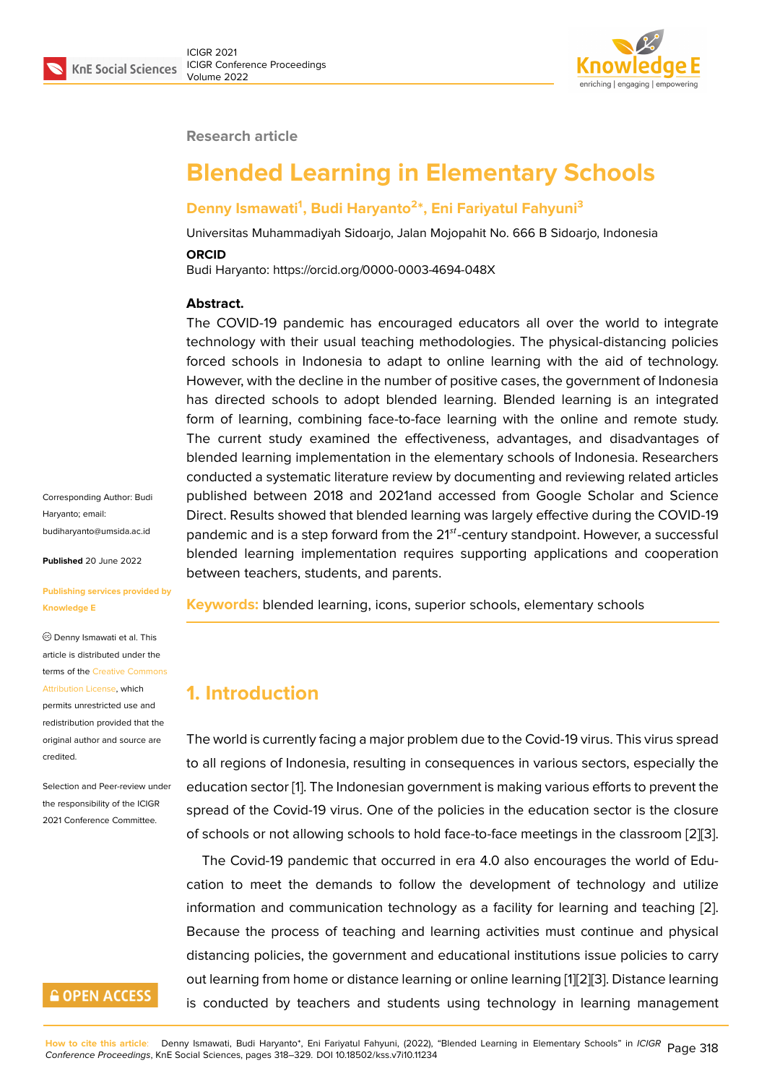

#### **Research article**

# **Blended Learning in Elementary Schools**

#### **Denny Ismawati<sup>1</sup> , Budi Haryanto<sup>2</sup> \*, Eni Fariyatul Fahyuni<sup>3</sup>**

Universitas Muhammadiyah Sidoarjo, Jalan Mojopahit No. 666 B Sidoarjo, Indonesia

#### **ORCID**

Budi Haryanto: https://orcid.org/0000-0003-4694-048X

#### **Abstract.**

The COVID-19 pandemic has encouraged educators all over the world to integrate technology with their usual teaching methodologies. The physical-distancing policies forced schools in Indonesia to adapt to online learning with the aid of technology. However, with the decline in the number of positive cases, the government of Indonesia has directed schools to adopt blended learning. Blended learning is an integrated form of learning, combining face-to-face learning with the online and remote study. The current study examined the effectiveness, advantages, and disadvantages of blended learning implementation in the elementary schools of Indonesia. Researchers conducted a systematic literature review by documenting and reviewing related articles published between 2018 and 2021and accessed from Google Scholar and Science Direct. Results showed that blended learning was largely effective during the COVID-19 pandemic and is a step forward from the  $21^{st}$ -century standpoint. However, a successful blended learning implementation requires supporting applications and cooperation between teachers, students, and parents.

**Keywords:** blended learning, icons, superior schools, elementary schools

### **1. Introduction**

The world is currently facing a major problem due to the Covid-19 virus. This virus spread to all regions of Indonesia, resulting in consequences in various sectors, especially the education sector [1]. The Indonesian government is making various efforts to prevent the spread of the Covid-19 virus. One of the policies in the education sector is the closure of schools or not allowing schools to hold face-to-face meetings in the classroom [2][3].

The Covid-19 [pa](#page-7-0)ndemic that occurred in era 4.0 also encourages the world of Education to meet the demands to follow the development of technology and utilize information and communication technology as a facility for learning and teachin[g](#page-7-1) [[2](#page-7-2)]. Because the process of teaching and learning activities must continue and physical distancing policies, the government and educational institutions issue policies to carry out learning from home or distance learning or online learning [1][2][3]. Distance learni[ng](#page-7-1) is conducted by teachers and students using technology in learning management

Corresponding Author: Budi Haryanto; email: budiharyanto@umsida.ac.id

**Published** 20 June 2022

#### **[Publishing services provide](mailto:budiharyanto@umsida.ac.id)d by Knowledge E**

Denny Ismawati et al. This article is distributed under the terms of the Creative Commons Attribution License, which permits unrestricted use and

redistribution provided that the original auth[or and source are](https://creativecommons.org/licenses/by/4.0/) [credited.](https://creativecommons.org/licenses/by/4.0/)

Selection and Peer-review under the responsibility of the ICIGR 2021 Conference Committee.

## **GOPEN ACCESS**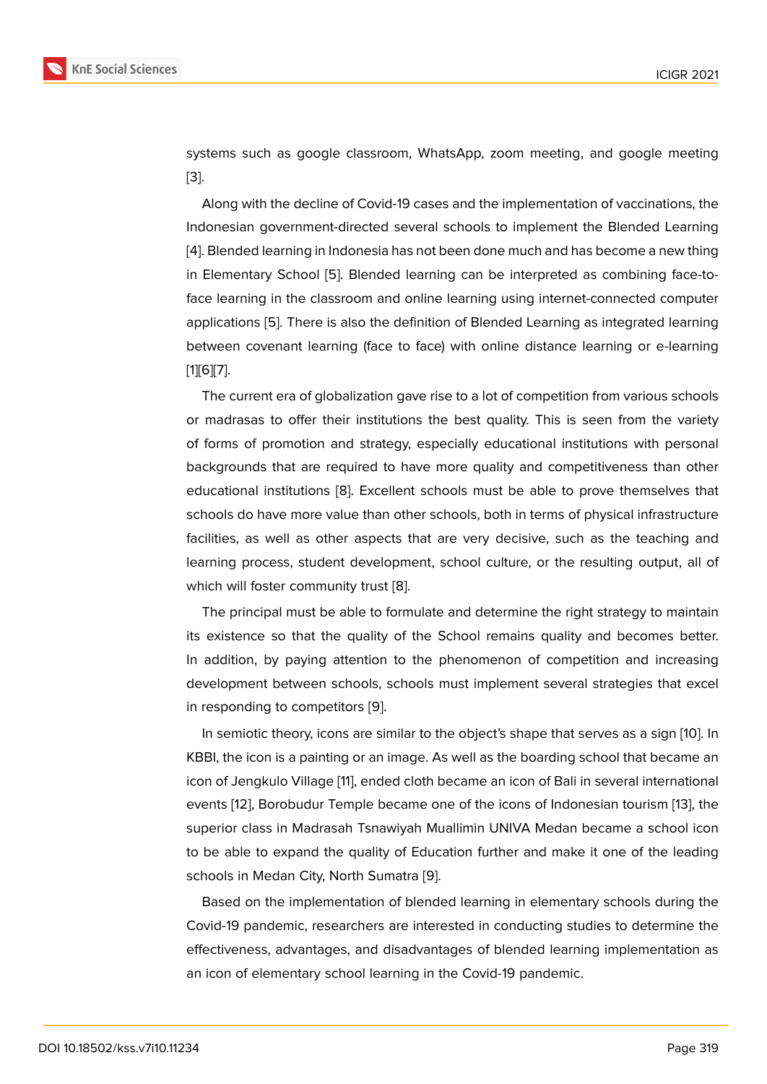systems such as google classroom, WhatsApp, zoom meeting, and google meeting [3].

Along with the decline of Covid-19 cases and the implementation of vaccinations, the Indonesian government-directed several schools to implement the Blended Learning [[4\]](#page-7-2). Blended learning in Indonesia has not been done much and has become a new thing in Elementary School [5]. Blended learning can be interpreted as combining face-toface learning in the classroom and online learning using internet-connected computer [ap](#page-7-3)plications [5]. There is also the definition of Blended Learning as integrated learning between covenant lea[rn](#page-7-4)ing (face to face) with online distance learning or e-learning [1][6][7].

The curre[nt e](#page-7-4)ra of globalization gave rise to a lot of competition from various schools or madrasas to offer their institutions the best quality. This is seen from the variety [o](#page-7-0)f [fo](#page-8-0)[rm](#page-8-1)s of promotion and strategy, especially educational institutions with personal backgrounds that are required to have more quality and competitiveness than other educational institutions [8]. Excellent schools must be able to prove themselves that schools do have more value than other schools, both in terms of physical infrastructure facilities, as well as other aspects that are very decisive, such as the teaching and learning process, stude[nt](#page-8-2) development, school culture, or the resulting output, all of which will foster community trust [8].

The principal must be able to formulate and determine the right strategy to maintain its existence so that the quality of the School remains quality and becomes better. In addition, by paying attention [to](#page-8-2) the phenomenon of competition and increasing development between schools, schools must implement several strategies that excel in responding to competitors [9].

In semiotic theory, icons are similar to the object's shape that serves as a sign [10]. In KBBI, the icon is a painting or an image. As well as the boarding school that became an icon of Jengkulo Village [11], e[nd](#page-8-3)ed cloth became an icon of Bali in several international events [12], Borobudur Temple became one of the icons of Indonesian tourism [1[3\],](#page-8-4) the superior class in Madrasah Tsnawiyah Muallimin UNIVA Medan became a school icon to be able to expand th[e q](#page-8-5)uality of Education further and make it one of the leading schools [in](#page-8-6) Medan City, North Sumatra [9].

Based on the implementation of blended learning in elementary schools during the Covid-19 pandemic, researchers are interested in conducting studies to determine the effectiveness, advantages, and disadv[an](#page-8-3)tages of blended learning implementation as an icon of elementary school learning in the Covid-19 pandemic.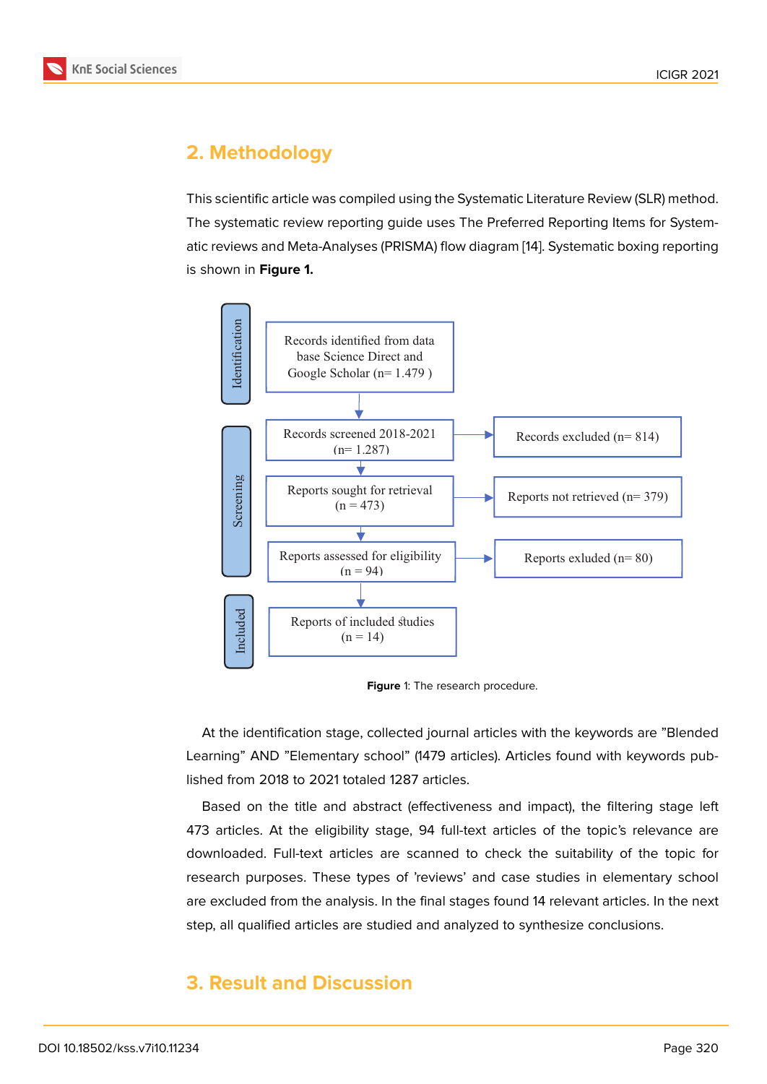# **2. Methodology**

This scientific article was compiled using the Systematic Literature Review (SLR) method. The systematic review reporting guide uses The Preferred Reporting Items for Systematic reviews and Meta-Analyses (PRISMA) flow diagram [14]. Systematic boxing reporting is shown in **Figure 1.**



<span id="page-2-0"></span>**Figure** 1: The research procedure.

At the identification stage, collected journal articles with the keywords are "Blended Learning" AND "Elementary school" (1479 articles). Articles found with keywords published from 2018 to 2021 totaled 1287 articles.

Based on the title and abstract (effectiveness and impact), the filtering stage left 473 articles. At the eligibility stage, 94 full-text articles of the topic's relevance are downloaded. Full-text articles are scanned to check the suitability of the topic for research purposes. These types of 'reviews' and case studies in elementary school are excluded from the analysis. In the final stages found 14 relevant articles. In the next step, all qualified articles are studied and analyzed to synthesize conclusions.

## **3. Result and Discussion**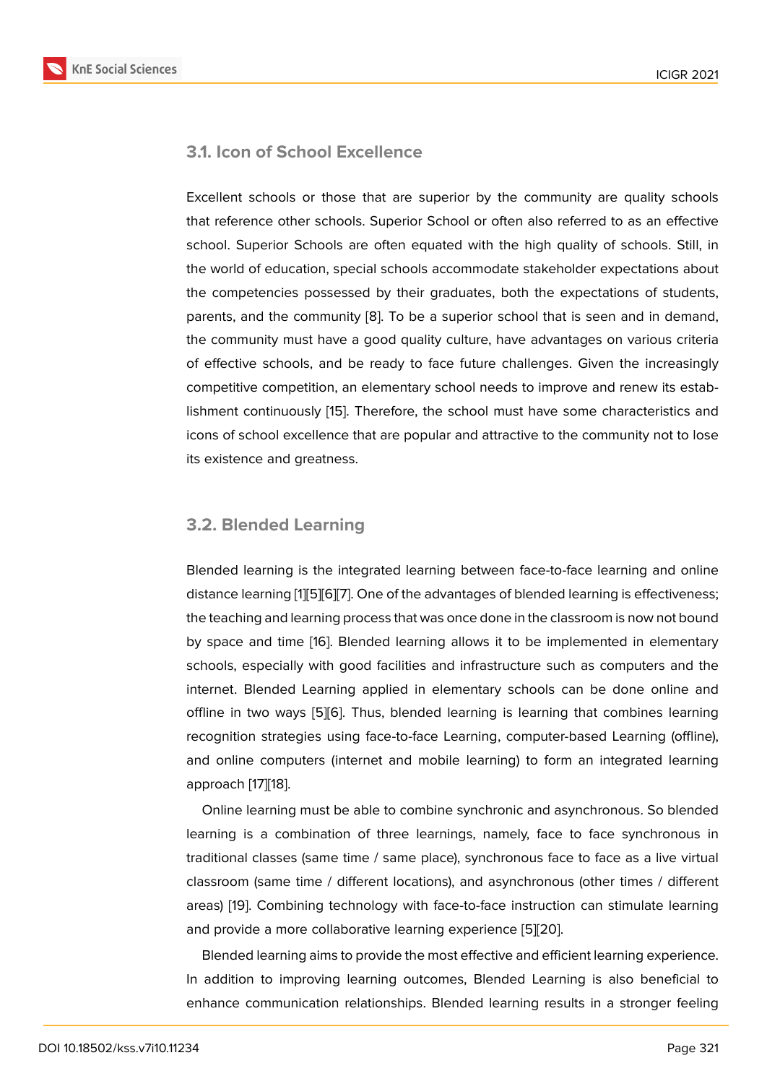### **3.1. Icon of School Excellence**

Excellent schools or those that are superior by the community are quality schools that reference other schools. Superior School or often also referred to as an effective school. Superior Schools are often equated with the high quality of schools. Still, in the world of education, special schools accommodate stakeholder expectations about the competencies possessed by their graduates, both the expectations of students, parents, and the community [8]. To be a superior school that is seen and in demand, the community must have a good quality culture, have advantages on various criteria of effective schools, and be ready to face future challenges. Given the increasingly competitive competition, an e[le](#page-8-2)mentary school needs to improve and renew its establishment continuously [15]. Therefore, the school must have some characteristics and icons of school excellence that are popular and attractive to the community not to lose its existence and greatness.

### **3.2. Blended Learning**

Blended learning is the integrated learning between face-to-face learning and online distance learning [1][5][6][7]. One of the advantages of blended learning is effectiveness; the teaching and learning process that was once done in the classroom is now not bound by space and time [16]. Blended learning allows it to be implemented in elementary schools, especiall[y](#page-7-0) [w](#page-7-4)i[th](#page-8-0) [go](#page-8-1)od facilities and infrastructure such as computers and the internet. Blended Learning applied in elementary schools can be done online and offline in two ways [\[5\]](#page-8-7)[6]. Thus, blended learning is learning that combines learning recognition strategies using face-to-face Learning, computer-based Learning (offline), and online computers (internet and mobile learning) to form an integrated learning approach [17][18].

Online learning must be able to combine synchronic and asynchronous. So blended learning is a combination of three learnings, namely, face to face synchronous in traditional [cla](#page-8-8)[sse](#page-8-9)s (same time / same place), synchronous face to face as a live virtual classroom (same time / different locations), and asynchronous (other times / different areas) [19]. Combining technology with face-to-face instruction can stimulate learning and provide a more collaborative learning experience [5][20].

Blended learning aims to provide the most effective and efficient learning experience. In addi[tio](#page-8-10)n to improving learning outcomes, Blended Learning is also beneficial to enhance communication relationships. Blended learni[ng](#page-7-4) [res](#page-9-0)ults in a stronger feeling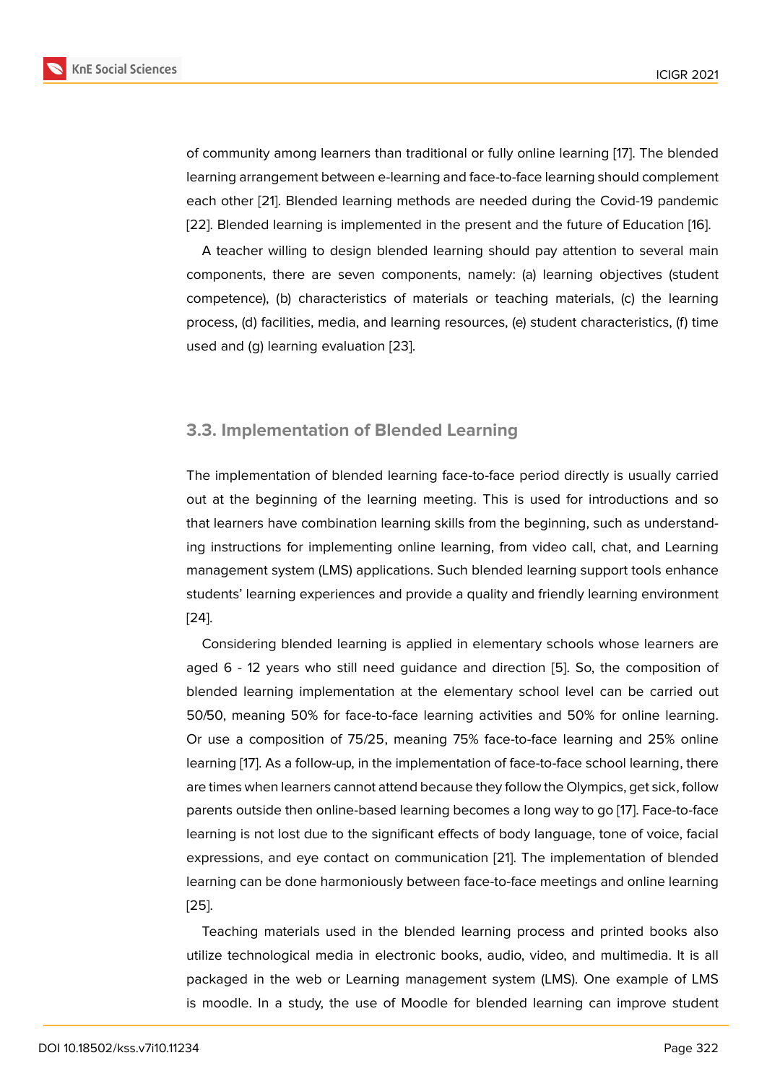of community among learners than traditional or fully online learning [17]. The blended learning arrangement between e-learning and face-to-face learning should complement each other [21]. Blended learning methods are needed during the Covid-19 pandemic [22]. Blended learning is implemented in the present and the future o[f E](#page-8-8)ducation [16].

A teacher willing to design blended learning should pay attention to several main component[s, t](#page-9-1)here are seven components, namely: (a) learning objectives (student [com](#page-9-2)petence), (b) characteristics of materials or teaching materials, (c) the lea[rnin](#page-8-7)g process, (d) facilities, media, and learning resources, (e) student characteristics, (f) time used and (g) learning evaluation [23].

### **3.3. Implementation of Blended Learning**

The implementation of blended learning face-to-face period directly is usually carried out at the beginning of the learning meeting. This is used for introductions and so that learners have combination learning skills from the beginning, such as understanding instructions for implementing online learning, from video call, chat, and Learning management system (LMS) applications. Such blended learning support tools enhance students' learning experiences and provide a quality and friendly learning environment [24].

Considering blended learning is applied in elementary schools whose learners are aged 6 - 12 years who still need guidance and direction [5]. So, the composition of [blen](#page-9-3)ded learning implementation at the elementary school level can be carried out 50/50, meaning 50% for face-to-face learning activities and 50% for online learning. Or use a composition of 75/25, meaning 75% face-to-fac[e l](#page-7-4)earning and 25% online learning [17]. As a follow-up, in the implementation of face-to-face school learning, there are times when learners cannot attend because they follow the Olympics, get sick, follow parents outside then online-based learning becomes a long way to go [17]. Face-to-face learning [is n](#page-8-8)ot lost due to the significant effects of body language, tone of voice, facial expressions, and eye contact on communication [21]. The implementation of blended learning can be done harmoniously between face-to-face meetings an[d o](#page-8-8)nline learning [25].

Teaching materials used in the blended learni[ng](#page-9-1) process and printed books also utilize technological media in electronic books, audio, video, and multimedia. It is all [pac](#page-9-4)kaged in the web or Learning management system (LMS). One example of LMS is moodle. In a study, the use of Moodle for blended learning can improve student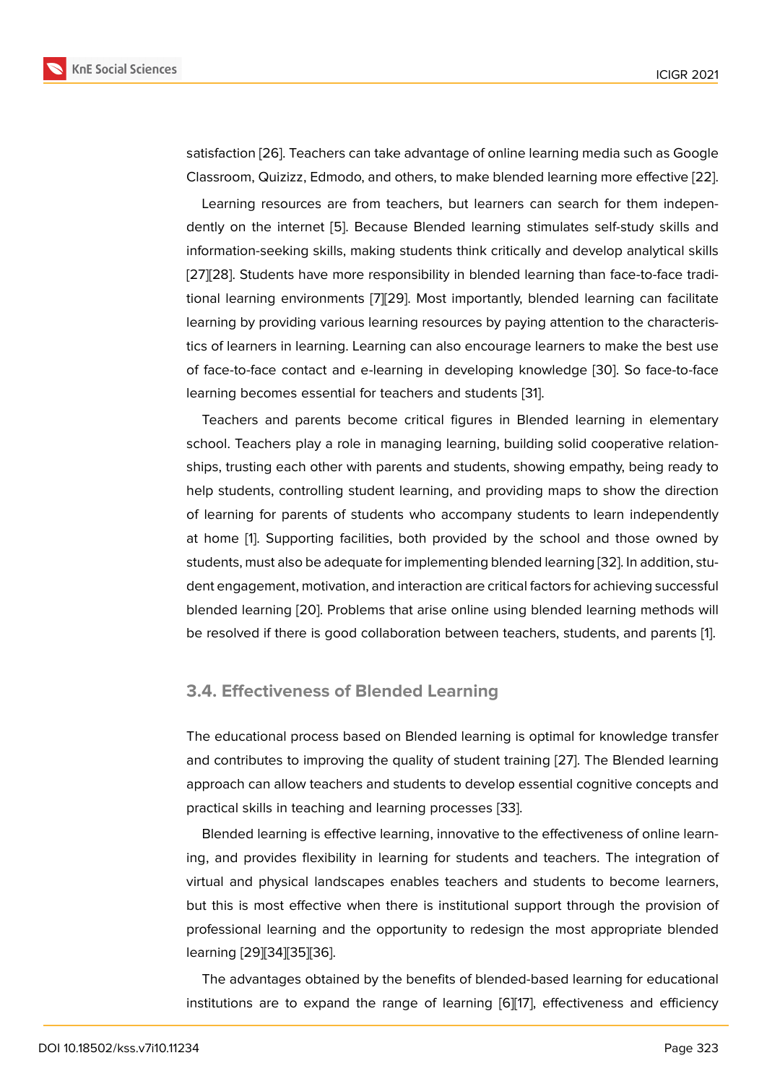satisfaction [26]. Teachers can take advantage of online learning media such as Google Classroom, Quizizz, Edmodo, and others, to make blended learning more effective [22].

Learning resources are from teachers, but learners can search for them independently on t[he i](#page-9-5)nternet [5]. Because Blended learning stimulates self-study skills and information-seeking skills, making students think critically and develop analytical [skill](#page-9-2)s [27][28]. Students have more responsibility in blended learning than face-to-face traditional learning environ[me](#page-7-4)nts [7][29]. Most importantly, blended learning can facilitate learning by providing various learning resources by paying attention to the characteris[tics](#page-9-6) [of l](#page-9-7)earners in learning. Learning can also encourage learners to make the best use of face-to-face contact and e-[le](#page-8-1)[arni](#page-9-8)ng in developing knowledge [30]. So face-to-face learning becomes essential for teachers and students [31].

Teachers and parents become critical figures in Blended learning in elementary school. Teachers play a role in managing learning, building solid [coo](#page-9-9)perative relationships, trusting each other with parents and students, s[how](#page-9-10)ing empathy, being ready to help students, controlling student learning, and providing maps to show the direction of learning for parents of students who accompany students to learn independently at home [1]. Supporting facilities, both provided by the school and those owned by students, must also be adequate for implementing blended learning [32]. In addition, student engagement, motivation, and interaction are critical factors for achieving successful blended l[ea](#page-7-0)rning [20]. Problems that arise online using blended learning methods will be resolved if there is good collaboration between teachers, stude[nts,](#page-9-11) and parents [1].

#### **3.4. Effectiveness of Blended Learning**

The educational process based on Blended learning is optimal for knowledge transfer and contributes to improving the quality of student training [27]. The Blended learning approach can allow teachers and students to develop essential cognitive concepts and practical skills in teaching and learning processes [33].

Blended learning is effective learning, innovative to the ef[fect](#page-9-6)iveness of online learning, and provides flexibility in learning for students and teachers. The integration of virtual and physical landscapes enables teachers [an](#page-10-0)d students to become learners, but this is most effective when there is institutional support through the provision of professional learning and the opportunity to redesign the most appropriate blended learning [29][34][35][36].

The advantages obtained by the benefits of blended-based learning for educational institutio[ns a](#page-9-8)[re](#page-10-1) t[o e](#page-10-2)[xpa](#page-10-3)nd the range of learning [6][17], effectiveness and efficiency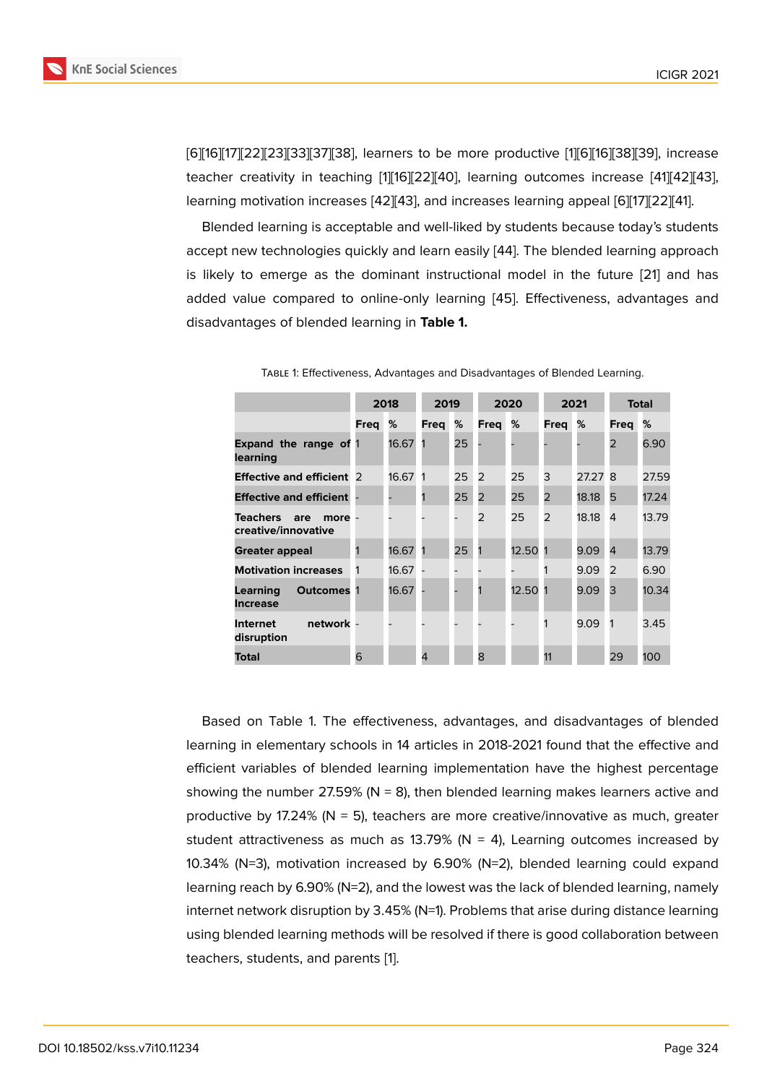[6][16][17][22][23][33][37][38], learners to be more productive [1][6][16][38][39], increase teacher creativity in teaching [1][16][22][40], learning outcomes increase [41][42][43], learning motivation increases [42][43], and increases learning appeal [6][17][22][41].

[Ble](#page-8-7)[nd](#page-8-8)[ed l](#page-9-2)[earn](#page-9-12)[ing](#page-10-0) [is a](#page-10-4)[cce](#page-10-5)ptable and well-liked by students [be](#page-7-0)[ca](#page-8-0)[use](#page-8-7) [tod](#page-10-5)[ay'](#page-10-6)s students accept new technologies quickl[y](#page-7-0) [an](#page-8-7)[d lea](#page-9-2)[rn](#page-10-7) easily [44]. The blended learnin[g a](#page-10-8)[ppro](#page-10-9)[ach](#page-10-10) is likely to emerge as the d[omi](#page-10-9)[nan](#page-10-10)t instructional model in the fut[ur](#page-8-0)[e \[2](#page-8-8)[1\] a](#page-9-2)[nd](#page-10-8) has added value compared to online-only learning [45]. Effectiveness, advantages and disadvantages of blended learning in **Table 1.**

|                                                         | 2018 |         | 2019 |    | 2020           |         | 2021           |       | <b>Total</b>   |       |
|---------------------------------------------------------|------|---------|------|----|----------------|---------|----------------|-------|----------------|-------|
|                                                         | Freg | %       | Freg | %  | Freg           | %       | Freq           | %     | Freg           | %     |
| <b>Expand the range of 1</b><br>learning                |      | 16.67   |      | 25 |                |         |                |       | $\overline{2}$ | 6.90  |
| <b>Effective and efficient</b> 2                        |      | 16.67 1 |      | 25 | 2              | 25      | 3              | 27.27 | 8              | 27.59 |
| <b>Effective and efficient</b>                          |      |         |      | 25 | 2              | 25      | $\overline{2}$ | 18.18 | 5              | 17.24 |
| <b>Teachers</b><br>are<br>more -<br>creative/innovative |      |         |      |    | $\overline{2}$ | 25      | $\overline{2}$ | 18.18 | 4              | 13.79 |
| Greater appeal                                          |      | 16.67   |      | 25 | 1              | 12.50 1 |                | 9.09  | $\overline{4}$ | 13.79 |
| <b>Motivation increases</b>                             |      | 16.67   |      |    |                |         |                | 9.09  | 2              | 6.90  |
| Learning<br><b>Outcomes 1</b><br><b>Increase</b>        |      | 16.67   |      |    |                | 12.50   |                | 9.09  | 3              | 10.34 |
| network -<br><b>Internet</b><br>disruption              |      |         |      |    |                |         |                | 9.09  | 1              | 3.45  |
| Total                                                   | 6    |         | 4    |    | 8              |         | 11             |       | 29             | 100   |

Table 1: Effectiveness, Advantages and Disadv[anta](#page-10-11)ges of Blended Learning.

Based on Table 1. The effectiveness, advantages, and disadvantages of blended learning in elementary schools in 14 articles in 2018-2021 found that the effective and efficient variables of blended learning implementation have the highest percentage showing the number 27.59% ( $N = 8$ ), then blended learning makes learners active and productive by 17.24% ( $N = 5$ ), teachers are more creative/innovative as much, greater student attractiveness as much as 13.79% ( $N = 4$ ), Learning outcomes increased by 10.34% (N=3), motivation increased by 6.90% (N=2), blended learning could expand learning reach by 6.90% (N=2), and the lowest was the lack of blended learning, namely internet network disruption by 3.45% (N=1). Problems that arise during distance learning using blended learning methods will be resolved if there is good collaboration between teachers, students, and parents [1].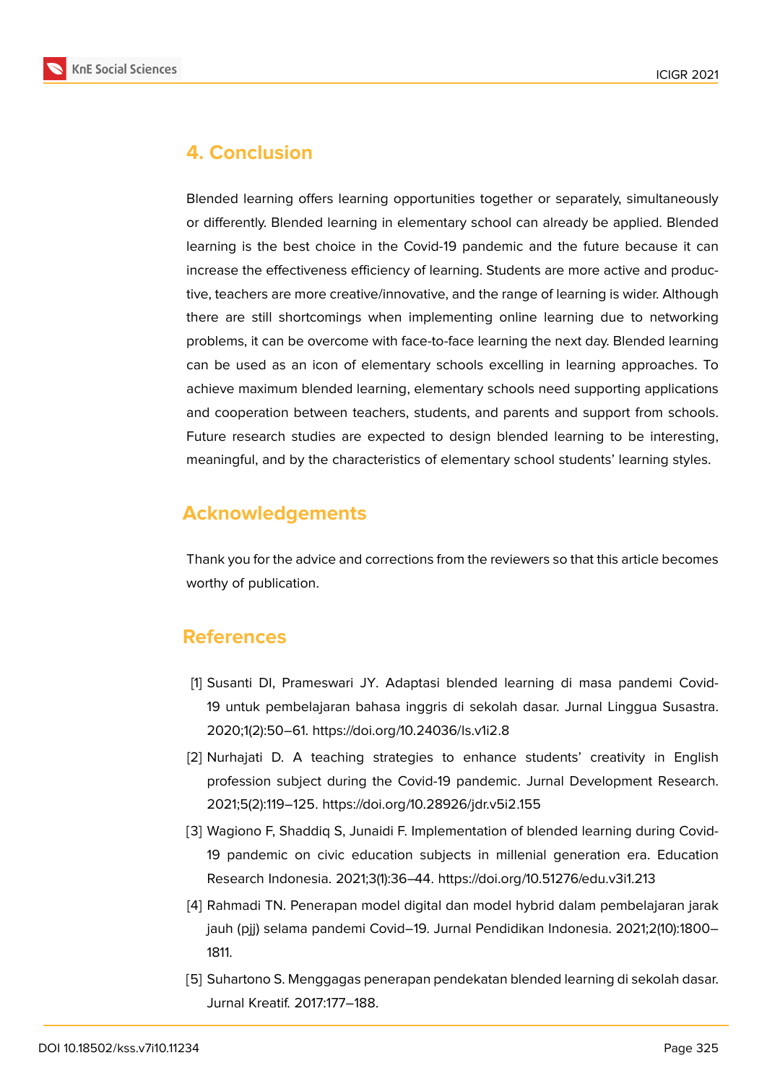

# **4. Conclusion**

Blended learning offers learning opportunities together or separately, simultaneously or differently. Blended learning in elementary school can already be applied. Blended learning is the best choice in the Covid-19 pandemic and the future because it can increase the effectiveness efficiency of learning. Students are more active and productive, teachers are more creative/innovative, and the range of learning is wider. Although there are still shortcomings when implementing online learning due to networking problems, it can be overcome with face-to-face learning the next day. Blended learning can be used as an icon of elementary schools excelling in learning approaches. To achieve maximum blended learning, elementary schools need supporting applications and cooperation between teachers, students, and parents and support from schools. Future research studies are expected to design blended learning to be interesting, meaningful, and by the characteristics of elementary school students' learning styles.

# **Acknowledgements**

Thank you for the advice and corrections from the reviewers so that this article becomes worthy of publication.

# **References**

- <span id="page-7-0"></span>[1] Susanti DI, Prameswari JY. Adaptasi blended learning di masa pandemi Covid-19 untuk pembelajaran bahasa inggris di sekolah dasar. Jurnal Linggua Susastra. 2020;1(2):50–61. https://doi.org/10.24036/ls.v1i2.8
- <span id="page-7-1"></span>[2] Nurhajati D. A teaching strategies to enhance students' creativity in English profession subject during the Covid-19 pandemic. Jurnal Development Research. 2021;5(2):119–125. https://doi.org/10.28926/jdr.v5i2.155
- <span id="page-7-2"></span>[3] Wagiono F, Shaddiq S, Junaidi F. Implementation of blended learning during Covid-19 pandemic on civic education subjects in millenial generation era. Education Research Indonesia. 2021;3(1):36–44. https://doi.org/10.51276/edu.v3i1.213
- <span id="page-7-3"></span>[4] Rahmadi TN. Penerapan model digital dan model hybrid dalam pembelajaran jarak jauh (pjj) selama pandemi Covid–19. Jurnal Pendidikan Indonesia. 2021;2(10):1800– 1811.
- <span id="page-7-4"></span>[5] Suhartono S. Menggagas penerapan pendekatan blended learning di sekolah dasar. Jurnal Kreatif. 2017:177–188.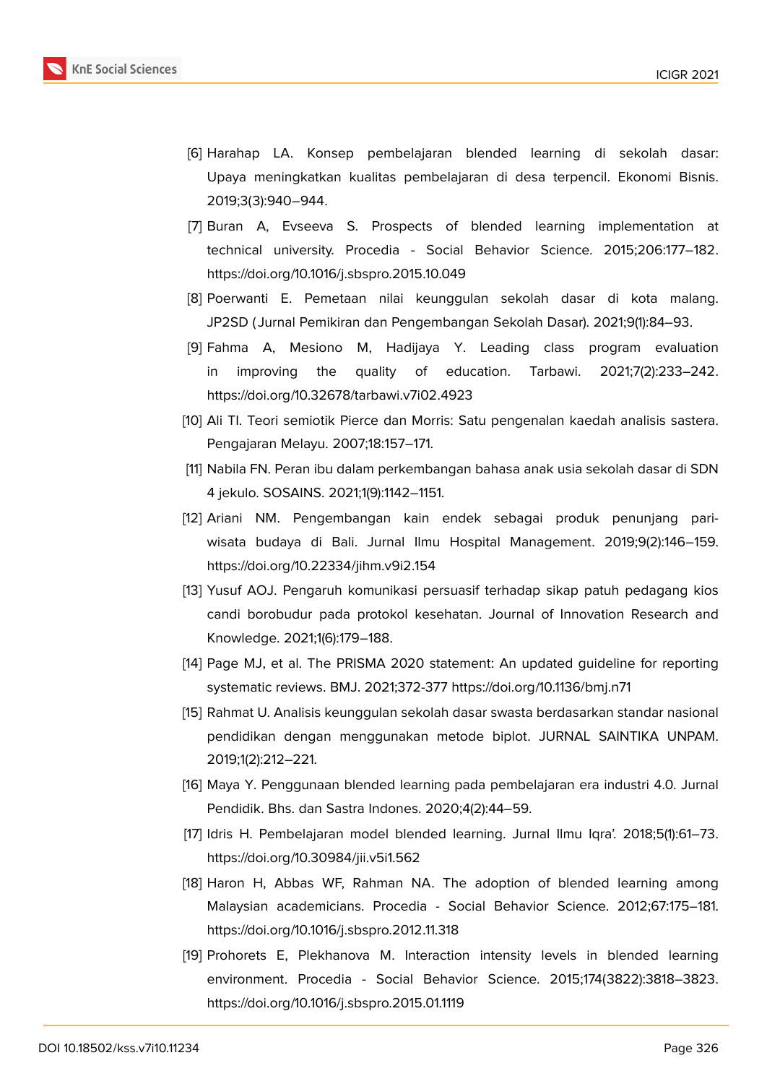

- <span id="page-8-0"></span>[6] Harahap LA. Konsep pembelajaran blended learning di sekolah dasar: Upaya meningkatkan kualitas pembelajaran di desa terpencil. Ekonomi Bisnis. 2019;3(3):940–944.
- <span id="page-8-1"></span>[7] Buran A, Evseeva S. Prospects of blended learning implementation at technical university. Procedia - Social Behavior Science. 2015;206:177–182. https://doi.org/10.1016/j.sbspro.2015.10.049
- <span id="page-8-2"></span>[8] Poerwanti E. Pemetaan nilai keunggulan sekolah dasar di kota malang. JP2SD ( Jurnal Pemikiran dan Pengembangan Sekolah Dasar). 2021;9(1):84–93.
- <span id="page-8-3"></span>[9] Fahma A, Mesiono M, Hadijaya Y. Leading class program evaluation in improving the quality of education. Tarbawi. 2021;7(2):233–242. https://doi.org/10.32678/tarbawi.v7i02.4923
- <span id="page-8-4"></span>[10] Ali TI. Teori semiotik Pierce dan Morris: Satu pengenalan kaedah analisis sastera. Pengajaran Melayu. 2007;18:157–171.
- <span id="page-8-5"></span>[11] Nabila FN. Peran ibu dalam perkembangan bahasa anak usia sekolah dasar di SDN 4 jekulo. SOSAINS. 2021;1(9):1142–1151.
- <span id="page-8-6"></span>[12] Ariani NM. Pengembangan kain endek sebagai produk penunjang pariwisata budaya di Bali. Jurnal Ilmu Hospital Management. 2019;9(2):146–159. https://doi.org/10.22334/jihm.v9i2.154
- [13] Yusuf AOJ. Pengaruh komunikasi persuasif terhadap sikap patuh pedagang kios candi borobudur pada protokol kesehatan. Journal of Innovation Research and Knowledge. 2021;1(6):179–188.
- [14] Page MJ, et al. The PRISMA 2020 statement: An updated guideline for reporting systematic reviews. BMJ. 2021;372-377 https://doi.org/10.1136/bmj.n71
- [15] Rahmat U. Analisis keunggulan sekolah dasar swasta berdasarkan standar nasional pendidikan dengan menggunakan metode biplot. JURNAL SAINTIKA UNPAM. 2019;1(2):212–221.
- <span id="page-8-7"></span>[16] Maya Y. Penggunaan blended learning pada pembelajaran era industri 4.0. Jurnal Pendidik. Bhs. dan Sastra Indones. 2020;4(2):44–59.
- <span id="page-8-8"></span>[17] Idris H. Pembelajaran model blended learning. Jurnal Ilmu Iqra'. 2018;5(1):61–73. https://doi.org/10.30984/jii.v5i1.562
- <span id="page-8-9"></span>[18] Haron H, Abbas WF, Rahman NA. The adoption of blended learning among Malaysian academicians. Procedia - Social Behavior Science. 2012;67:175–181. https://doi.org/10.1016/j.sbspro.2012.11.318
- <span id="page-8-10"></span>[19] Prohorets E, Plekhanova M. Interaction intensity levels in blended learning environment. Procedia - Social Behavior Science. 2015;174(3822):3818–3823. https://doi.org/10.1016/j.sbspro.2015.01.1119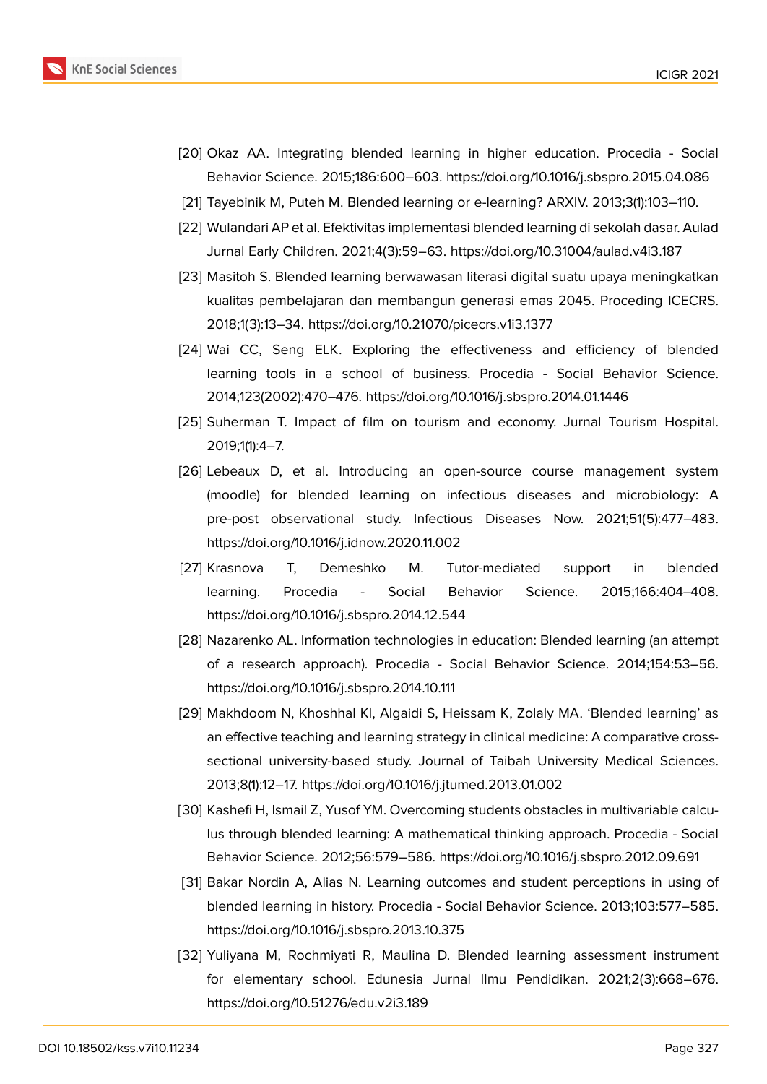

- <span id="page-9-0"></span>[20] Okaz AA. Integrating blended learning in higher education. Procedia - Social Behavior Science. 2015;186:600–603. https://doi.org/10.1016/j.sbspro.2015.04.086
- <span id="page-9-1"></span>[21] Tayebinik M, Puteh M. Blended learning or e-learning? ARXIV. 2013;3(1):103–110.
- <span id="page-9-2"></span>[22] Wulandari AP et al. Efektivitas implementasi blended learning di sekolah dasar. Aulad Jurnal Early Children. 2021;4(3):59–63. https://doi.org/10.31004/aulad.v4i3.187
- <span id="page-9-12"></span>[23] Masitoh S. Blended learning berwawasan literasi digital suatu upaya meningkatkan kualitas pembelajaran dan membangun generasi emas 2045. Proceding ICECRS. 2018;1(3):13–34. https://doi.org/10.21070/picecrs.v1i3.1377
- <span id="page-9-3"></span>[24] Wai CC, Seng ELK. Exploring the effectiveness and efficiency of blended learning tools in a school of business. Procedia - Social Behavior Science. 2014;123(2002):470–476. https://doi.org/10.1016/j.sbspro.2014.01.1446
- <span id="page-9-4"></span>[25] Suherman T. Impact of film on tourism and economy. Jurnal Tourism Hospital. 2019;1(1):4–7.
- <span id="page-9-5"></span>[26] Lebeaux D, et al. Introducing an open-source course management system (moodle) for blended learning on infectious diseases and microbiology: A pre-post observational study. Infectious Diseases Now. 2021;51(5):477–483. https://doi.org/10.1016/j.idnow.2020.11.002
- <span id="page-9-6"></span>[27] Krasnova T, Demeshko M. Tutor-mediated support in blended learning. Procedia - Social Behavior Science. 2015;166:404–408. https://doi.org/10.1016/j.sbspro.2014.12.544
- <span id="page-9-7"></span>[28] Nazarenko AL. Information technologies in education: Blended learning (an attempt of a research approach). Procedia - Social Behavior Science. 2014;154:53–56. https://doi.org/10.1016/j.sbspro.2014.10.111
- <span id="page-9-8"></span>[29] Makhdoom N, Khoshhal KI, Algaidi S, Heissam K, Zolaly MA. 'Blended learning' as an effective teaching and learning strategy in clinical medicine: A comparative crosssectional university-based study. Journal of Taibah University Medical Sciences. 2013;8(1):12–17. https://doi.org/10.1016/j.jtumed.2013.01.002
- <span id="page-9-9"></span>[30] Kashefi H, Ismail Z, Yusof YM. Overcoming students obstacles in multivariable calculus through blended learning: A mathematical thinking approach. Procedia - Social Behavior Science. 2012;56:579–586. https://doi.org/10.1016/j.sbspro.2012.09.691
- <span id="page-9-10"></span>[31] Bakar Nordin A, Alias N. Learning outcomes and student perceptions in using of blended learning in history. Procedia - Social Behavior Science. 2013;103:577–585. https://doi.org/10.1016/j.sbspro.2013.10.375
- <span id="page-9-11"></span>[32] Yuliyana M, Rochmiyati R, Maulina D. Blended learning assessment instrument for elementary school. Edunesia Jurnal Ilmu Pendidikan. 2021;2(3):668–676. https://doi.org/10.51276/edu.v2i3.189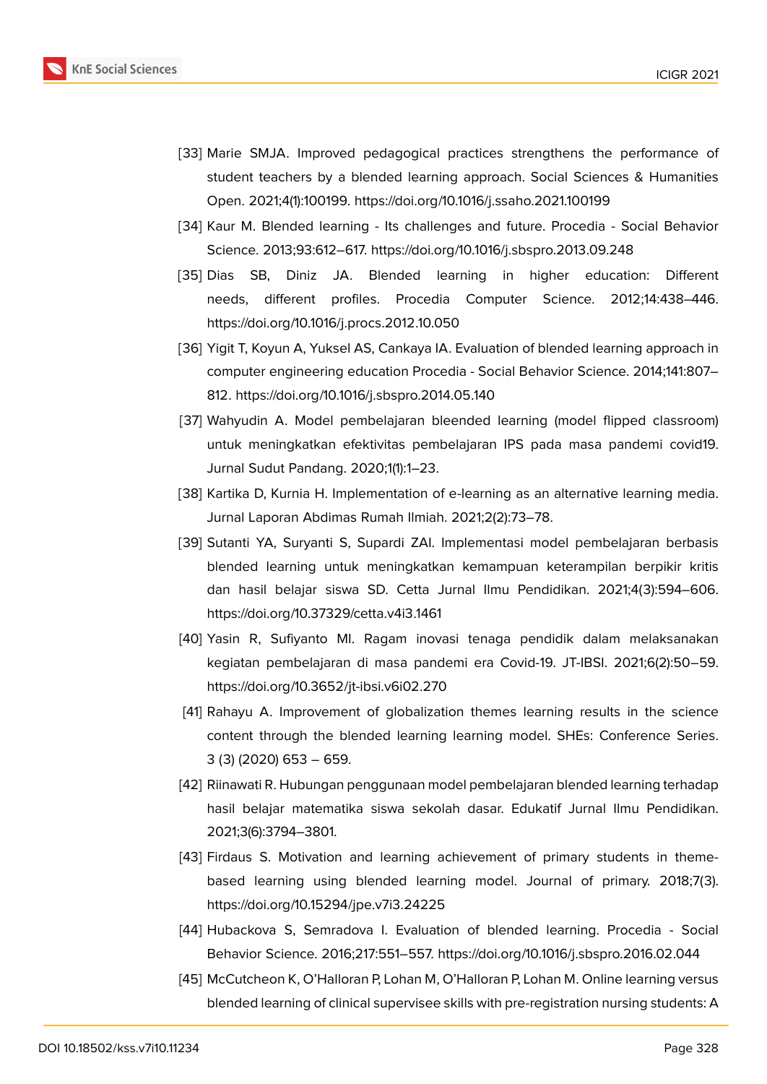

- <span id="page-10-0"></span>[33] Marie SMJA. Improved pedagogical practices strengthens the performance of student teachers by a blended learning approach. Social Sciences & Humanities Open. 2021;4(1):100199. https://doi.org/10.1016/j.ssaho.2021.100199
- <span id="page-10-1"></span>[34] Kaur M. Blended learning - Its challenges and future. Procedia - Social Behavior Science. 2013;93:612–617. https://doi.org/10.1016/j.sbspro.2013.09.248
- <span id="page-10-2"></span>[35] Dias SB, Diniz JA. Blended learning in higher education: Different needs, different profiles. Procedia Computer Science. 2012;14:438–446. https://doi.org/10.1016/j.procs.2012.10.050
- <span id="page-10-3"></span>[36] Yigit T, Koyun A, Yuksel AS, Cankaya IA. Evaluation of blended learning approach in computer engineering education Procedia - Social Behavior Science. 2014;141:807– 812. https://doi.org/10.1016/j.sbspro.2014.05.140
- <span id="page-10-4"></span>[37] Wahyudin A. Model pembelajaran bleended learning (model flipped classroom) untuk meningkatkan efektivitas pembelajaran IPS pada masa pandemi covid19. Jurnal Sudut Pandang. 2020;1(1):1–23.
- <span id="page-10-5"></span>[38] Kartika D, Kurnia H. Implementation of e-learning as an alternative learning media. Jurnal Laporan Abdimas Rumah Ilmiah. 2021;2(2):73–78.
- <span id="page-10-6"></span>[39] Sutanti YA, Suryanti S, Supardi ZAI. Implementasi model pembelajaran berbasis blended learning untuk meningkatkan kemampuan keterampilan berpikir kritis dan hasil belajar siswa SD. Cetta Jurnal Ilmu Pendidikan. 2021;4(3):594–606. https://doi.org/10.37329/cetta.v4i3.1461
- <span id="page-10-7"></span>[40] Yasin R, Sufiyanto MI. Ragam inovasi tenaga pendidik dalam melaksanakan kegiatan pembelajaran di masa pandemi era Covid-19. JT-IBSI. 2021;6(2):50–59. https://doi.org/10.3652/jt-ibsi.v6i02.270
- <span id="page-10-8"></span>[41] Rahayu A. Improvement of globalization themes learning results in the science content through the blended learning learning model. SHEs: Conference Series. 3 (3) (2020) 653 – 659.
- <span id="page-10-9"></span>[42] Riinawati R. Hubungan penggunaan model pembelajaran blended learning terhadap hasil belajar matematika siswa sekolah dasar. Edukatif Jurnal Ilmu Pendidikan. 2021;3(6):3794–3801.
- <span id="page-10-10"></span>[43] Firdaus S. Motivation and learning achievement of primary students in themebased learning using blended learning model. Journal of primary. 2018;7(3). https://doi.org/10.15294/jpe.v7i3.24225
- [44] Hubackova S, Semradova I. Evaluation of blended learning. Procedia Social Behavior Science. 2016;217:551–557. https://doi.org/10.1016/j.sbspro.2016.02.044
- <span id="page-10-11"></span>[45] McCutcheon K, O'Halloran P, Lohan M, O'Halloran P, Lohan M. Online learning versus blended learning of clinical supervisee skills with pre-registration nursing students: A